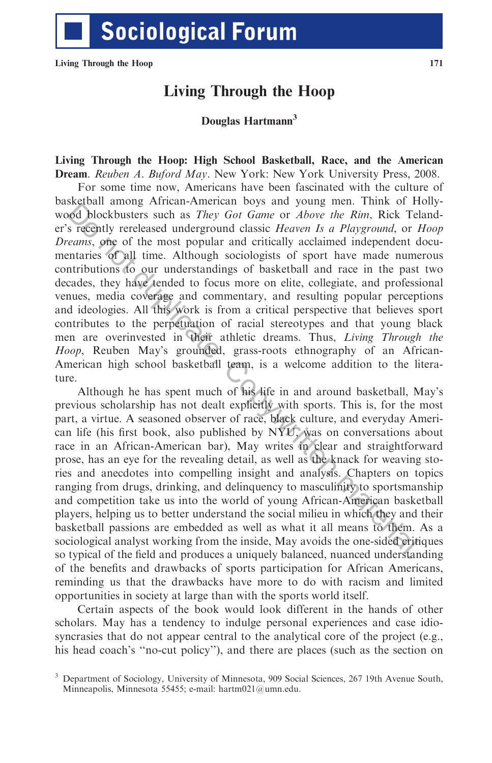## Living Through the Hoop

## Douglas Hartmann<sup>3</sup>

## Living Through the Hoop: High School Basketball, Race, and the American Dream. Reuben A. Buford May. New York: New York University Press, 2008.

For some time now, Americans have been fascinated with the culture of basketball among African-American boys and young men. Think of Hollywood blockbusters such as They Got Game or Above the Rim, Rick Telander's recently rereleased underground classic Heaven Is a Playground, or Hoop Dreams, one of the most popular and critically acclaimed independent documentaries of all time. Although sociologists of sport have made numerous contributions to our understandings of basketball and race in the past two decades, they have tended to focus more on elite, collegiate, and professional venues, media coverage and commentary, and resulting popular perceptions and ideologies. All this work is from a critical perspective that believes sport contributes to the perpetuation of racial stereotypes and that young black men are overinvested in their athletic dreams. Thus, Living Through the Hoop, Reuben May's grounded, grass-roots ethnography of an African-American high school basketball team, is a welcome addition to the literature. **Example 11** interinal interinal cosys and young functional analysis. The consideration and the team of the material consideration of the material of the material station of continent and the secarcy, one of the material

Although he has spent much of his life in and around basketball, May's previous scholarship has not dealt explicitly with sports. This is, for the most part, a virtue. A seasoned observer of race, black culture, and everyday American life (his first book, also published by NYU, was on conversations about race in an African-American bar), May writes in clear and straightforward prose, has an eye for the revealing detail, as well as the knack for weaving stories and anecdotes into compelling insight and analysis. Chapters on topics ranging from drugs, drinking, and delinquency to masculinity to sportsmanship and competition take us into the world of young African-American basketball players, helping us to better understand the social milieu in which they and their basketball passions are embedded as well as what it all means to them. As a sociological analyst working from the inside, May avoids the one-sided critiques so typical of the field and produces a uniquely balanced, nuanced understanding of the benefits and drawbacks of sports participation for African Americans, reminding us that the drawbacks have more to do with racism and limited opportunities in society at large than with the sports world itself.

Certain aspects of the book would look different in the hands of other scholars. May has a tendency to indulge personal experiences and case idiosyncrasies that do not appear central to the analytical core of the project (e.g., his head coach's ''no-cut policy''), and there are places (such as the section on

<sup>3</sup> Department of Sociology, University of Minnesota, 909 Social Sciences, 267 19th Avenue South, Minneapolis, Minnesota 55455; e-mail: hartm021@umn.edu.